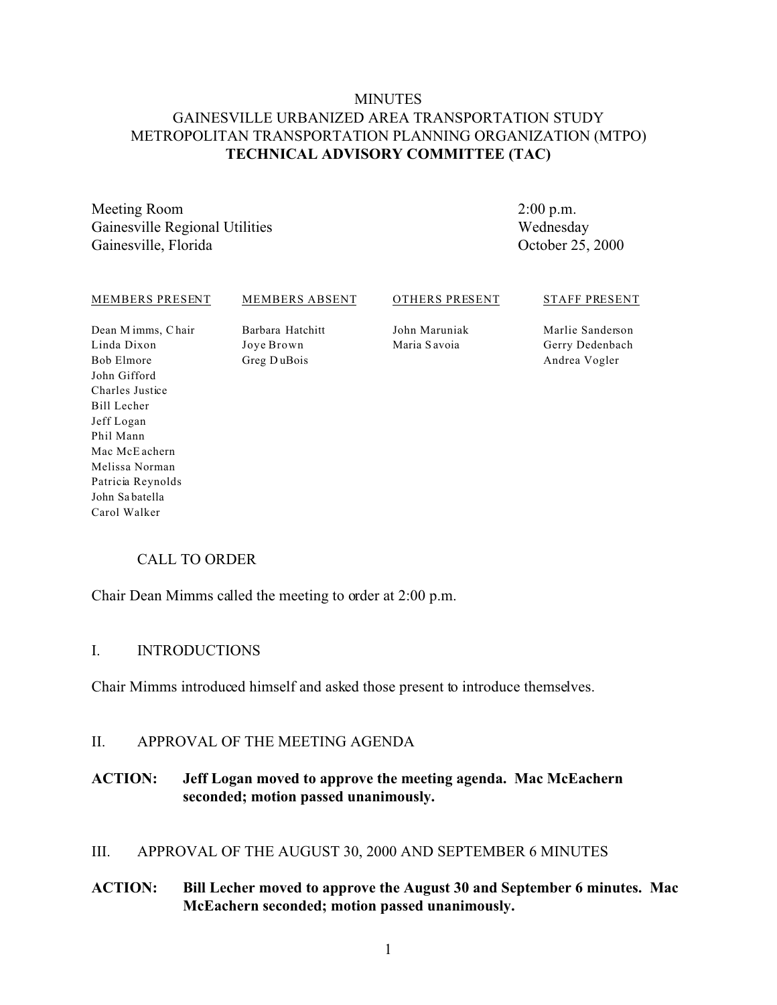## **MINUTES** GAINESVILLE URBANIZED AREA TRANSPORTATION STUDY METROPOLITAN TRANSPORTATION PLANNING ORGANIZATION (MTPO) **TECHNICAL ADVISORY COMMITTEE (TAC)**

Meeting Room Gainesville Regional Utilities Gainesville, Florida

2:00 p.m. Wednesday October 25, 2000

#### MEMBERS PRESENT Dean M imms, C hair MEMBERS ABSENT OTHERS PRESENT

Barbara Hatchitt Joye Brown Greg D uBois

John Maruniak Maria S avoia

Marlie Sanderson Gerry Dedenbach Andrea Vogler

STAFF PRESENT

Linda Dixon Bob Elmore John Gifford Charles Justice Bill Lecher Jeff Logan Phil Mann Mac McE achern Melissa Norman Patricia Reynolds John Sa batella Carol Walker

## CALL TO ORDER

Chair Dean Mimms called the meeting to order at 2:00 p.m.

## I. INTRODUCTIONS

Chair Mimms introduced himself and asked those present to introduce themselves.

## II. APPROVAL OF THE MEETING AGENDA

## **ACTION: Jeff Logan moved to approve the meeting agenda. Mac McEachern seconded; motion passed unanimously.**

III. APPROVAL OF THE AUGUST 30, 2000 AND SEPTEMBER 6 MINUTES

## **ACTION: Bill Lecher moved to approve the August 30 and September 6 minutes. Mac McEachern seconded; motion passed unanimously.**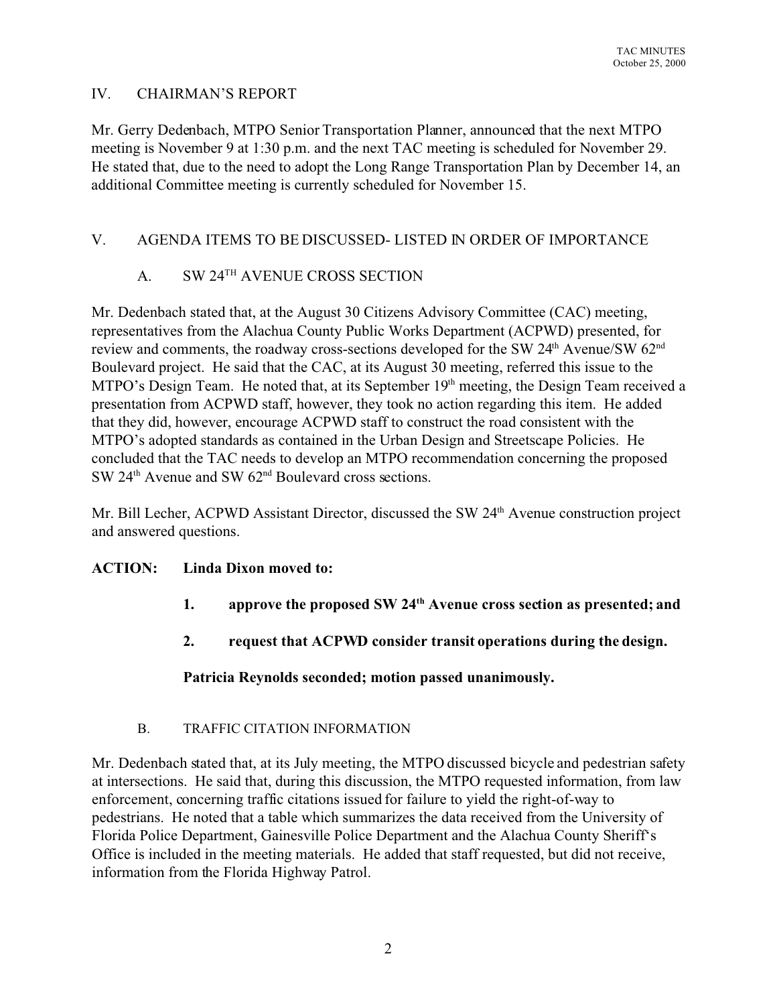## IV. CHAIRMAN'S REPORT

Mr. Gerry Dedenbach, MTPO Senior Transportation Planner, announced that the next MTPO meeting is November 9 at 1:30 p.m. and the next TAC meeting is scheduled for November 29. He stated that, due to the need to adopt the Long Range Transportation Plan by December 14, an additional Committee meeting is currently scheduled for November 15.

# V. AGENDA ITEMS TO BE DISCUSSED- LISTED IN ORDER OF IMPORTANCE

# A. SW 24TH AVENUE CROSS SECTION

Mr. Dedenbach stated that, at the August 30 Citizens Advisory Committee (CAC) meeting, representatives from the Alachua County Public Works Department (ACPWD) presented, for review and comments, the roadway cross-sections developed for the SW 24<sup>th</sup> Avenue/SW 62<sup>nd</sup> Boulevard project. He said that the CAC, at its August 30 meeting, referred this issue to the MTPO's Design Team. He noted that, at its September 19<sup>th</sup> meeting, the Design Team received a presentation from ACPWD staff, however, they took no action regarding this item. He added that they did, however, encourage ACPWD staff to construct the road consistent with the MTPO's adopted standards as contained in the Urban Design and Streetscape Policies. He concluded that the TAC needs to develop an MTPO recommendation concerning the proposed SW 24th Avenue and SW 62nd Boulevard cross sections.

Mr. Bill Lecher, ACPWD Assistant Director, discussed the SW 24<sup>th</sup> Avenue construction project and answered questions.

## **ACTION: Linda Dixon moved to:**

- **1. approve the proposed SW 24th Avenue cross section as presented; and**
- **2. request that ACPWD consider transit operations during the design.**

**Patricia Reynolds seconded; motion passed unanimously.**

## B. TRAFFIC CITATION INFORMATION

Mr. Dedenbach stated that, at its July meeting, the MTPO discussed bicycle and pedestrian safety at intersections. He said that, during this discussion, the MTPO requested information, from law enforcement, concerning traffic citations issued for failure to yield the right-of-way to pedestrians. He noted that a table which summarizes the data received from the University of Florida Police Department, Gainesville Police Department and the Alachua County Sheriff's Office is included in the meeting materials. He added that staff requested, but did not receive, information from the Florida Highway Patrol.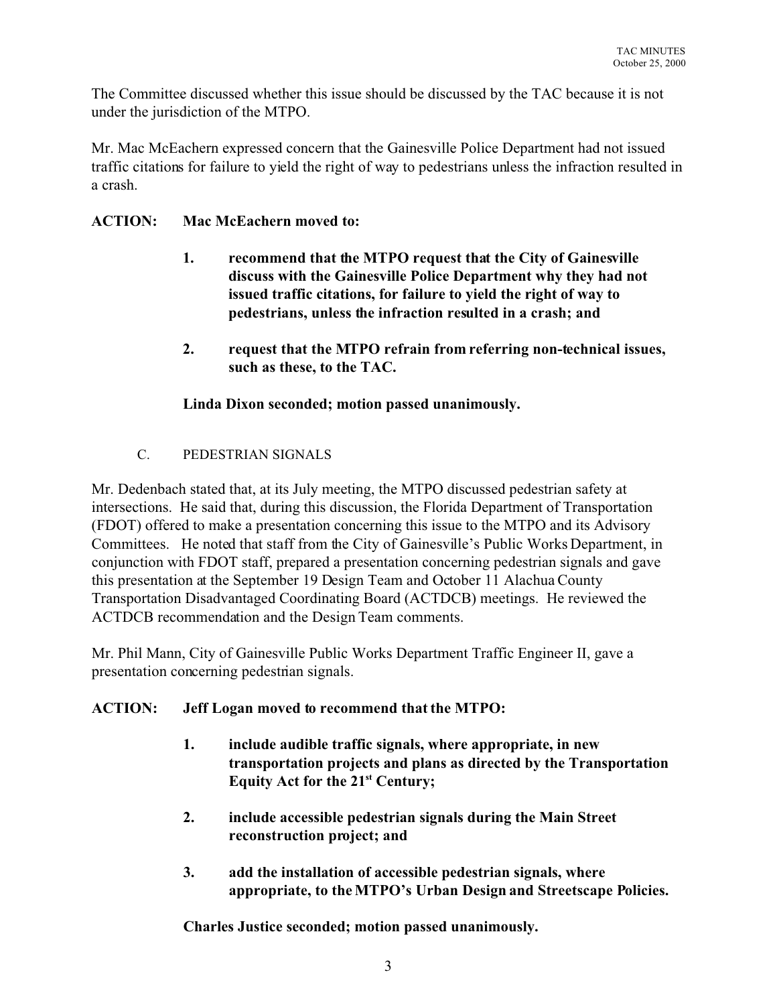The Committee discussed whether this issue should be discussed by the TAC because it is not under the jurisdiction of the MTPO.

Mr. Mac McEachern expressed concern that the Gainesville Police Department had not issued traffic citations for failure to yield the right of way to pedestrians unless the infraction resulted in a crash.

## **ACTION: Mac McEachern moved to:**

- **1. recommend that the MTPO request that the City of Gainesville discuss with the Gainesville Police Department why they had not issued traffic citations, for failure to yield the right of way to pedestrians, unless the infraction resulted in a crash; and**
- **2. request that the MTPO refrain from referring non-technical issues, such as these, to the TAC.**

## **Linda Dixon seconded; motion passed unanimously.**

C. PEDESTRIAN SIGNALS

Mr. Dedenbach stated that, at its July meeting, the MTPO discussed pedestrian safety at intersections. He said that, during this discussion, the Florida Department of Transportation (FDOT) offered to make a presentation concerning this issue to the MTPO and its Advisory Committees. He noted that staff from the City of Gainesville's Public Works Department, in conjunction with FDOT staff, prepared a presentation concerning pedestrian signals and gave this presentation at the September 19 Design Team and October 11 Alachua County Transportation Disadvantaged Coordinating Board (ACTDCB) meetings. He reviewed the ACTDCB recommendation and the Design Team comments.

Mr. Phil Mann, City of Gainesville Public Works Department Traffic Engineer II, gave a presentation concerning pedestrian signals.

## **ACTION: Jeff Logan moved to recommend that the MTPO:**

- **1. include audible traffic signals, where appropriate, in new transportation projects and plans as directed by the Transportation Equity Act for the 21st Century;**
- **2. include accessible pedestrian signals during the Main Street reconstruction project; and**
- **3. add the installation of accessible pedestrian signals, where appropriate, to the MTPO's Urban Design and Streetscape Policies.**

**Charles Justice seconded; motion passed unanimously.**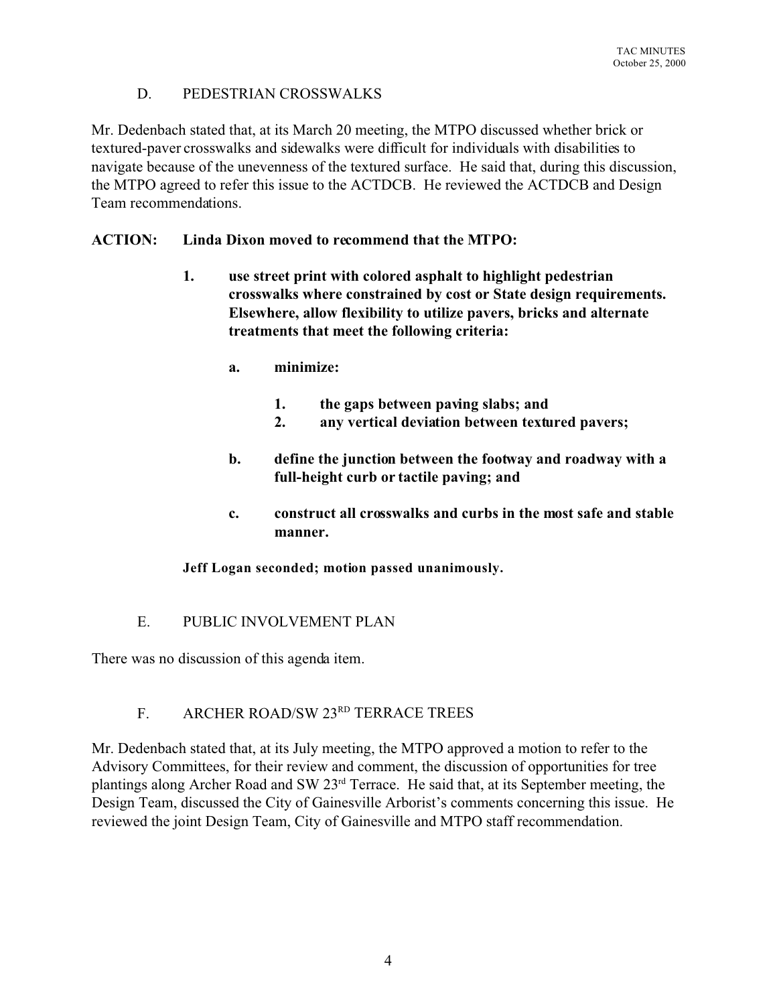## D. PEDESTRIAN CROSSWALKS

Mr. Dedenbach stated that, at its March 20 meeting, the MTPO discussed whether brick or textured-paver crosswalks and sidewalks were difficult for individuals with disabilities to navigate because of the unevenness of the textured surface. He said that, during this discussion, the MTPO agreed to refer this issue to the ACTDCB. He reviewed the ACTDCB and Design Team recommendations.

## **ACTION: Linda Dixon moved to recommend that the MTPO:**

- **1. use street print with colored asphalt to highlight pedestrian crosswalks where constrained by cost or State design requirements. Elsewhere, allow flexibility to utilize pavers, bricks and alternate treatments that meet the following criteria:**
	- **a. minimize:**
		- **1. the gaps between paving slabs; and**
		- **2. any vertical deviation between textured pavers;**
	- **b. define the junction between the footway and roadway with a full-height curb or tactile paving; and**
	- **c. construct all crosswalks and curbs in the most safe and stable manner.**

**Jeff Logan seconded; motion passed unanimously.**

## E. PUBLIC INVOLVEMENT PLAN

There was no discussion of this agenda item.

## F. ARCHER ROAD/SW 23RD TERRACE TREES

Mr. Dedenbach stated that, at its July meeting, the MTPO approved a motion to refer to the Advisory Committees, for their review and comment, the discussion of opportunities for tree plantings along Archer Road and SW 23rd Terrace. He said that, at its September meeting, the Design Team, discussed the City of Gainesville Arborist's comments concerning this issue. He reviewed the joint Design Team, City of Gainesville and MTPO staff recommendation.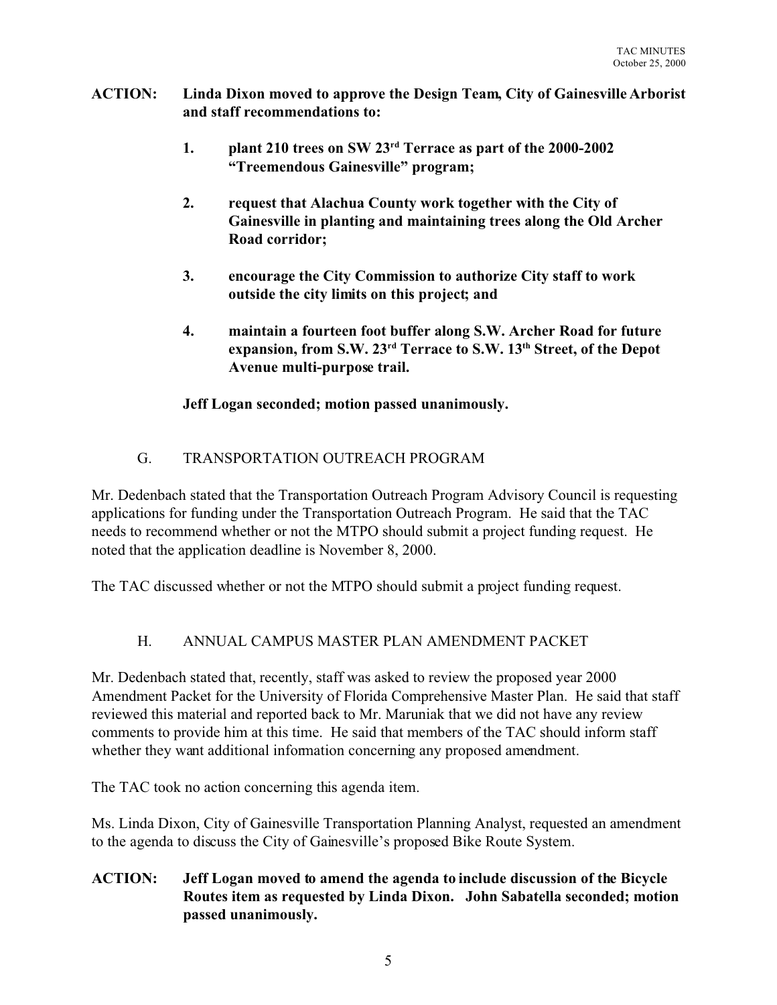#### **ACTION: Linda Dixon moved to approve the Design Team, City of Gainesville Arborist and staff recommendations to:**

- **1. plant 210 trees on SW 23rd Terrace as part of the 2000-2002 "Treemendous Gainesville" program;**
- **2. request that Alachua County work together with the City of Gainesville in planting and maintaining trees along the Old Archer Road corridor;**
- **3. encourage the City Commission to authorize City staff to work outside the city limits on this project; and**
- **4. maintain a fourteen foot buffer along S.W. Archer Road for future expansion, from S.W. 23rd Terrace to S.W. 13th Street, of the Depot Avenue multi-purpose trail.**

## **Jeff Logan seconded; motion passed unanimously.**

# G. TRANSPORTATION OUTREACH PROGRAM

Mr. Dedenbach stated that the Transportation Outreach Program Advisory Council is requesting applications for funding under the Transportation Outreach Program. He said that the TAC needs to recommend whether or not the MTPO should submit a project funding request. He noted that the application deadline is November 8, 2000.

The TAC discussed whether or not the MTPO should submit a project funding request.

## H. ANNUAL CAMPUS MASTER PLAN AMENDMENT PACKET

Mr. Dedenbach stated that, recently, staff was asked to review the proposed year 2000 Amendment Packet for the University of Florida Comprehensive Master Plan. He said that staff reviewed this material and reported back to Mr. Maruniak that we did not have any review comments to provide him at this time. He said that members of the TAC should inform staff whether they want additional information concerning any proposed amendment.

The TAC took no action concerning this agenda item.

Ms. Linda Dixon, City of Gainesville Transportation Planning Analyst, requested an amendment to the agenda to discuss the City of Gainesville's proposed Bike Route System.

## **ACTION: Jeff Logan moved to amend the agenda to include discussion of the Bicycle Routes item as requested by Linda Dixon. John Sabatella seconded; motion passed unanimously.**